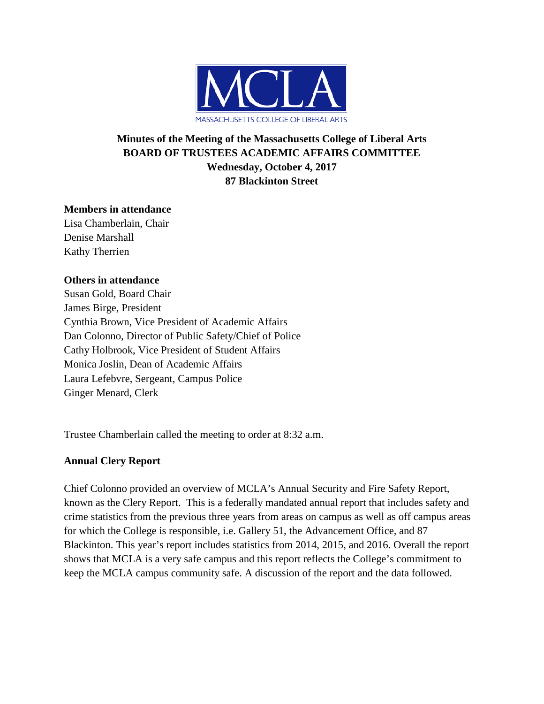

# **Minutes of the Meeting of the Massachusetts College of Liberal Arts BOARD OF TRUSTEES ACADEMIC AFFAIRS COMMITTEE Wednesday, October 4, 2017 87 Blackinton Street**

#### **Members in attendance**

Lisa Chamberlain, Chair Denise Marshall Kathy Therrien

#### **Others in attendance**

Susan Gold, Board Chair James Birge, President Cynthia Brown, Vice President of Academic Affairs Dan Colonno, Director of Public Safety/Chief of Police Cathy Holbrook, Vice President of Student Affairs Monica Joslin, Dean of Academic Affairs Laura Lefebvre, Sergeant, Campus Police Ginger Menard, Clerk

Trustee Chamberlain called the meeting to order at 8:32 a.m.

## **Annual Clery Report**

Chief Colonno provided an overview of MCLA's Annual Security and Fire Safety Report, known as the Clery Report. This is a federally mandated annual report that includes safety and crime statistics from the previous three years from areas on campus as well as off campus areas for which the College is responsible, i.e. Gallery 51, the Advancement Office, and 87 Blackinton. This year's report includes statistics from 2014, 2015, and 2016. Overall the report shows that MCLA is a very safe campus and this report reflects the College's commitment to keep the MCLA campus community safe. A discussion of the report and the data followed.